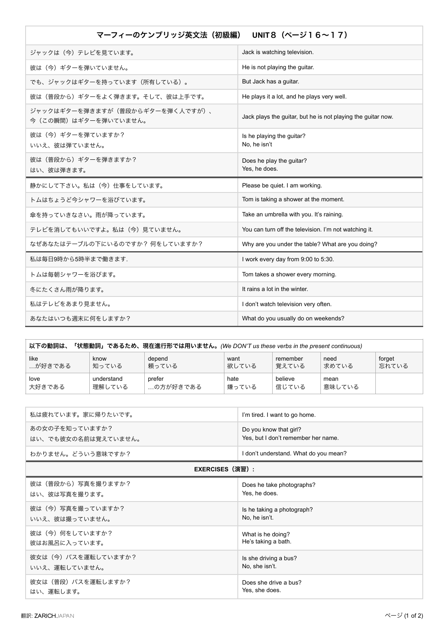| マーフィーのケンブリッジ英文法(初級編) UNIT8 (ページ16~17)                   |                                                              |
|---------------------------------------------------------|--------------------------------------------------------------|
| ジャックは(今)テレビを見ています。                                      | Jack is watching television.                                 |
| 彼は(今)ギターを弾いていません。                                       | He is not playing the guitar.                                |
| でも、ジャックはギターを持っています(所有している)。                             | But Jack has a guitar.                                       |
| 彼は(普段から)ギターをよく弾きます。そして、彼は上手です。                          | He plays it a lot, and he plays very well.                   |
| ジャックはギターを弾きますが(普段からギターを弾く人ですが)、<br>今(この瞬間)はギターを弾いていません。 | Jack plays the guitar, but he is not playing the guitar now. |
| 彼は(今)ギターを弾ていますか?<br>いいえ、彼は弾ていません。                       | Is he playing the guitar?<br>No, he isn't                    |
| 彼は(普段から)ギターを弾きますか?<br>はい、彼は弾きます。                        | Does he play the guitar?<br>Yes, he does.                    |
| 静かにして下さい。私は(今)仕事をしています。                                 | Please be quiet. I am working.                               |
| トムはちょうど今シャワーを浴びています。                                    | Tom is taking a shower at the moment.                        |
| 傘を持っていきなさい。雨が降っています。                                    | Take an umbrella with you. It's raining.                     |
| テレビを消してもいいですよ。私は(今)見ていません。                              | You can turn off the television. I'm not watching it.        |
|                                                         |                                                              |
| なぜあなたはテーブルの下にいるのですか?何をしていますか?                           | Why are you under the table? What are you doing?             |
| 私は毎日9時から5時半まで働きます.                                      | I work every day from 9:00 to 5:30.                          |
| トムは毎朝シャワーを浴びます。                                         | Tom takes a shower every morning.                            |
| 冬にたくさん雨が降ります。                                           | It rains a lot in the winter.                                |
| 私はテレビをあまり見ません。                                          | I don't watch television very often.                         |

| 以下の動詞は、<br>「状態動詞」であるため、現在進行形では用いません。(We DON'T us these verbs in the present continuous) |            |           |       |          |        |        |  |
|-----------------------------------------------------------------------------------------|------------|-----------|-------|----------|--------|--------|--|
| like                                                                                    | know       | depend    | want  | remember | need   | forget |  |
| …が好きである                                                                                 | 知っている      | 頼っている     | 欲している | 覚えている    | 求めている  | 忘れている  |  |
| love                                                                                    | understand | prefer    | hate  | believe  | mean   |        |  |
| 大好きである                                                                                  | 理解している     | …の方が好きである | 嫌っている | 信じている    | 意味している |        |  |

| 私は疲れています。家に帰りたいです。  | I'm tired. I want to go home.         |  |  |  |
|---------------------|---------------------------------------|--|--|--|
| あの女の子を知っていますか?      | Do you know that girl?                |  |  |  |
| はい、でも彼女の名前は覚えていません。 | Yes, but I don't remember her name.   |  |  |  |
| わかりません。どういう意味ですか?   | I don't understand. What do you mean? |  |  |  |
| EXERCISES (演習) :    |                                       |  |  |  |
| 彼は(普段から)写真を撮りますか?   | Does he take photographs?             |  |  |  |
| はい、彼は写真を撮ります。       | Yes, he does.                         |  |  |  |
| 彼は(今)写真を撮っていますか?    | Is he taking a photograph?            |  |  |  |
| いいえ、彼は撮っていません。      | No, he isn't.                         |  |  |  |
| 彼は(今)何をしていますか?      | What is he doing?                     |  |  |  |
| 彼はお風呂に入っています。       | He's taking a bath.                   |  |  |  |
| 彼女は(今)バスを運転していますか?  | Is she driving a bus?                 |  |  |  |
| いいえ、運転していません。       | No, she isn't.                        |  |  |  |
| 彼女は(普段)バスを運転しますか?   | Does she drive a bus?                 |  |  |  |
| はい、運転します。           | Yes, she does.                        |  |  |  |